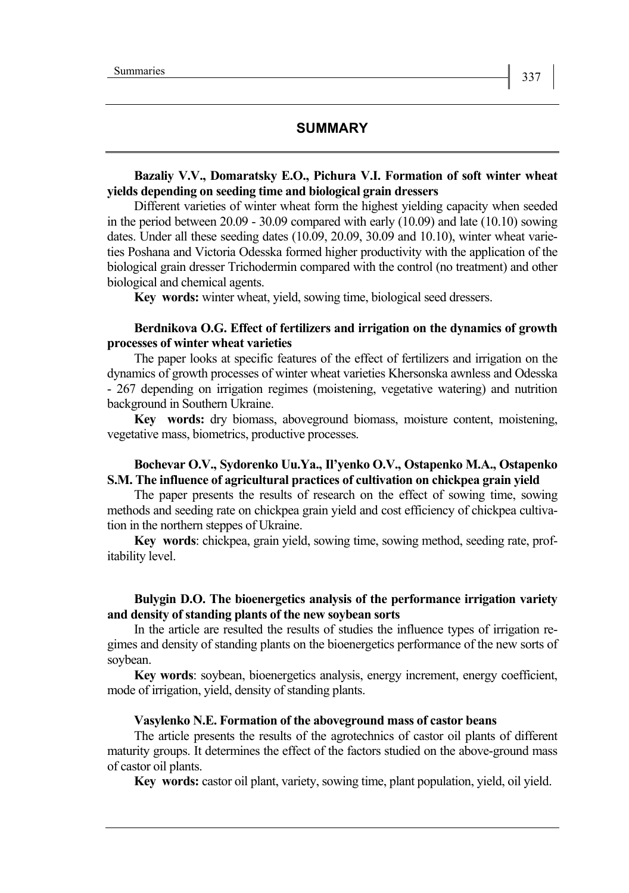# **SUMMARY**

## **Bazaliy V.V., Domaratsky E.O., Pichura V.I. Formation of soft winter wheat yields depending on seeding time and biological grain dressers**

Different varieties of winter wheat form the highest yielding capacity when seeded in the period between  $20.09 - 30.09$  compared with early  $(10.09)$  and late  $(10.10)$  sowing dates. Under all these seeding dates (10.09, 20.09, 30.09 and 10.10), winter wheat varieties Poshana and Victoria Odesska formed higher productivity with the application of the biological grain dresser Trichodermin compared with the control (no treatment) and other biological and chemical agents.

**Key words:** winter wheat, yield, sowing time, biological seed dressers.

### **Berdnikova O.G. Effect of fertilizers and irrigation on the dynamics of growth processes of winter wheat varieties**

The paper looks at specific features of the effect of fertilizers and irrigation on the dynamics of growth processes of winter wheat varieties Khersonska awnless and Odesska - 267 depending on irrigation regimes (moistening, vegetative watering) and nutrition background in Southern Ukraine.

**Key words:** dry biomass, aboveground biomass, moisture content, moistening, vegetative mass, biometrics, productive processes.

### **Bochevar O.V., Sydorenko Uu.Ya., Il'yenko O.V., Ostapenko M.A., Ostapenko S.M. The influence of agricultural practices of cultivation on chickpea grain yield**

The paper presents the results of research on the effect of sowing time, sowing methods and seeding rate on chickpea grain yield and cost efficiency of chickpea cultivation in the northern steppes of Ukraine.

**Key words**: chickpea, grain yield, sowing time, sowing method, seeding rate, profitability level.

## **Bulygin D.O. The bioenergetics analysis of the performance irrigation variety and density of standing plants of the new soybean sorts**

In the article are resulted the results of studies the influence types of irrigation regimes and density of standing plants on the bioenergetics performance of the new sorts of soybean.

**Key words**: soybean, bioenergetics analysis, energy increment, energy coefficient, mode of irrigation, yield, density of standing plants.

#### **Vasylenko N.E. Formation of the aboveground mass of castor beans**

The article presents the results of the agrotechnics of castor oil plants of different maturity groups. It determines the effect of the factors studied on the above-ground mass of castor oil plants.

**Key words:** castor oil plant, variety, sowing time, plant population, yield, oil yield.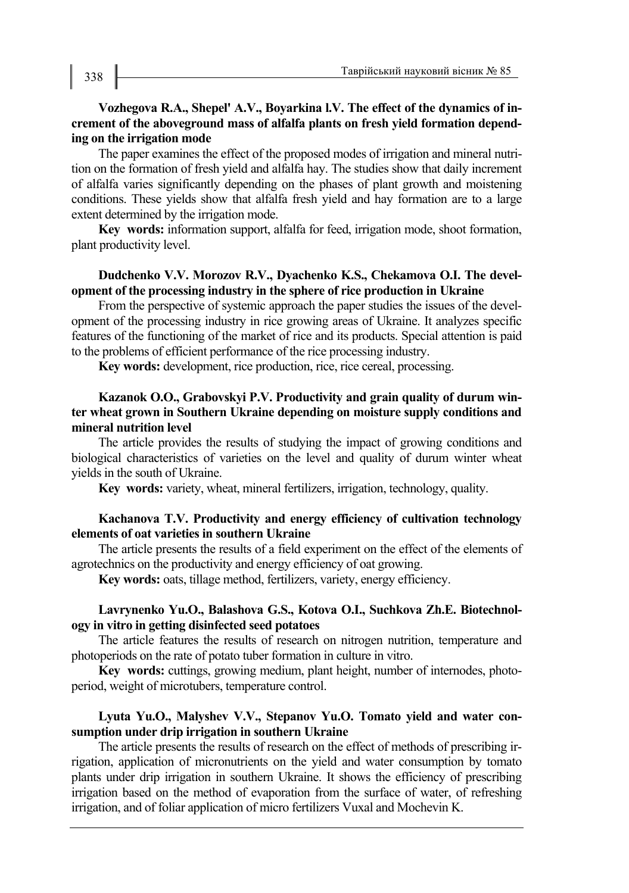# **Vozhegova R.A., Shepel' A.V., Boyarkina l.V. The effect of the dynamics of increment of the aboveground mass of alfalfa plants on fresh yield formation depending on the irrigation mode**

The paper examines the effect of the proposed modes of irrigation and mineral nutrition on the formation of fresh yield and alfalfa hay. The studies show that daily increment of alfalfa varies significantly depending on the phases of plant growth and moistening conditions. These yields show that alfalfa fresh yield and hay formation are to a large extent determined by the irrigation mode.

**Key words:** information support, alfalfa for feed, irrigation mode, shoot formation, plant productivity level.

## **Dudchenko V.V. Morozov R.V., Dyachenko K.S., Chekamova O.I. The development of the processing industry in the sphere of rice production in Ukraine**

From the perspective of systemic approach the paper studies the issues of the development of the processing industry in rice growing areas of Ukraine. It analyzes specific features of the functioning of the market of rice and its products. Special attention is paid to the problems of efficient performance of the rice processing industry.

**Key words:** development, rice production, rice, rice cereal, processing.

# **Kazanok O.O., Grabovskyi P.V. Productivity and grain quality of durum winter wheat grown in Southern Ukraine depending on moisture supply conditions and mineral nutrition level**

The article provides the results of studying the impact of growing conditions and biological characteristics of varieties on the level and quality of durum winter wheat yields in the south of Ukraine.

**Key words:** variety, wheat, mineral fertilizers, irrigation, technology, quality.

# **Kachanova T.V. Productivity and energy efficiency of cultivation technology elements of oat varieties in southern Ukraine**

The article presents the results of a field experiment on the effect of the elements of agrotechnics on the productivity and energy efficiency of oat growing.

**Key words:** oats, tillage method, fertilizers, variety, energy efficiency.

# **Lavrynenko Yu.O., Balashova G.S., Kotova O.I., Suchkova Zh.E. Biotechnology in vitro in getting disinfected seed potatoes**

The article features the results of research on nitrogen nutrition, temperature and photoperiods on the rate of potato tuber formation in culture in vitro.

**Key words:** cuttings, growing medium, plant height, number of internodes, photoperiod, weight of microtubers, temperature control.

# **Lyuta Yu.O., Malyshev V.V., Stepanov Yu.O. Tomato yield and water consumption under drip irrigation in southern Ukraine**

The article presents the results of research on the effect of methods of prescribing irrigation, application of micronutrients on the yield and water consumption by tomato plants under drip irrigation in southern Ukraine. It shows the efficiency of prescribing irrigation based on the method of evaporation from the surface of water, of refreshing irrigation, and of foliar application of micro fertilizers Vuxal and Mochevin K.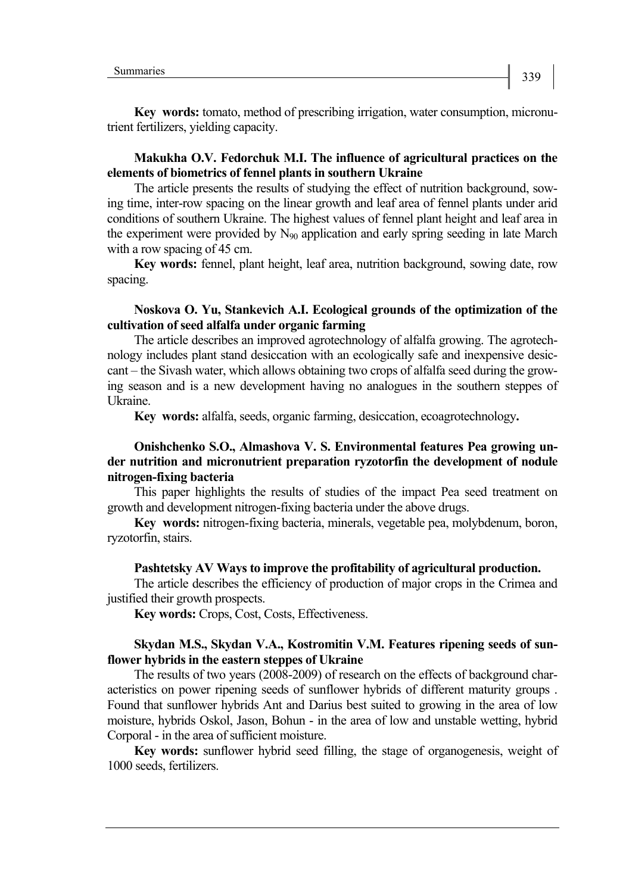**Key words:** tomato, method of prescribing irrigation, water consumption, micronutrient fertilizers, yielding capacity.

# **Makukha O.V. Fedorchuk M.І. The influence of agricultural practices on the elements of biometrics of fennel plants in southern Ukraine**

The article presents the results of studying the effect of nutrition background, sowing time, inter-row spacing on the linear growth and leaf area of fennel plants under arid conditions of southern Ukraine. The highest values of fennel plant height and leaf area in the experiment were provided by  $N_{90}$  application and early spring seeding in late March with a row spacing of 45 cm.

**Key words:** fennel, plant height, leaf area, nutrition background, sowing date, row spacing.

#### **Noskova O. Yu, Stankevich A.I. Ecological grounds of the optimization of the cultivation of seed alfalfa under organic farming**

The article describes an improved agrotechnology of alfalfa growing. The agrotechnology includes plant stand desiccation with an ecologically safe and inexpensive desiccant – the Sivash water, which allows obtaining two crops of alfalfa seed during the growing season and is a new development having no analogues in the southern steppes of Ukraine.

**Key words:** alfalfa, seeds, organic farming, desiccation, ecoagrotechnology**.**

# **Onishchenko S.O., Almashova V. S. Environmental features Pea growing under nutrition and micronutrient preparation ryzotorfin the development of nodule nitrogen-fixing bacteria**

This paper highlights the results of studies of the impact Pea seed treatment on growth and development nitrogen-fixing bacteria under the above drugs.

**Key words:** nitrogen-fixing bacteria, minerals, vegetable pea, molybdenum, boron, ryzotorfin, stairs.

#### **Pashtetsky AV Ways to improve the profitability of agricultural production.**

The article describes the efficiency of production of major crops in the Crimea and justified their growth prospects.

**Key words:** Crops, Cost, Costs, Effectiveness.

## **Skydan M.S., Skydan V.A., Kostromitin V.M. Features ripening seeds of sunflower hybrids in the eastern steppes of Ukraine**

The results of two years (2008-2009) of research on the effects of background characteristics on power ripening seeds of sunflower hybrids of different maturity groups . Found that sunflower hybrids Ant and Darius best suited to growing in the area of low moisture, hybrids Oskol, Jason, Bohun - in the area of low and unstable wetting, hybrid Corporal - in the area of sufficient moisture.

**Key words:** sunflower hybrid seed filling, the stage of organogenesis, weight of 1000 seeds, fertilizers.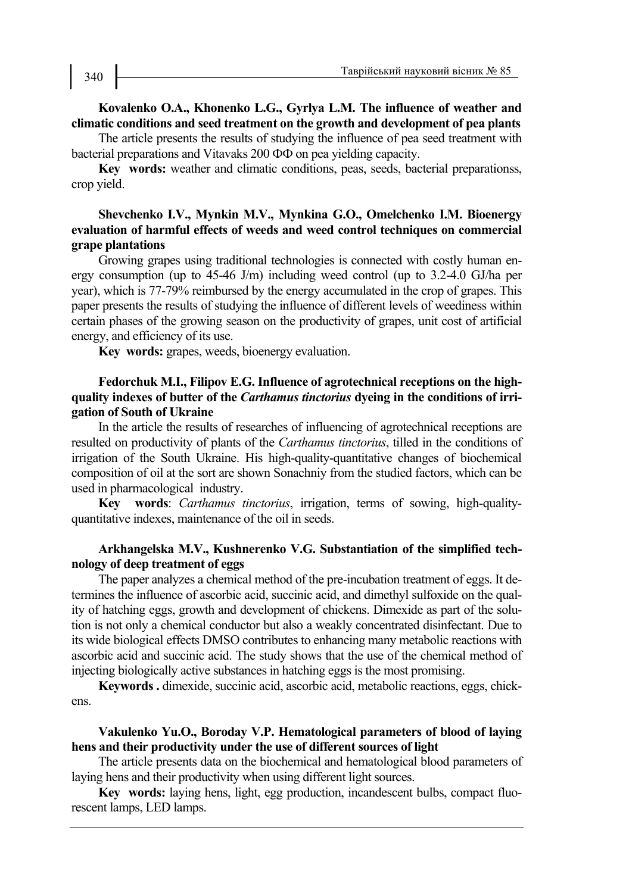# **Kovalenko O.A., Khonenko L.G., Gyrlya L.M. The influence of weather and climatic conditions and seed treatment on the growth and development of pea plants**

The article presents the results of studying the influence of pea seed treatment with bacterial preparations and Vitavaks 200 ФФ on pea yielding capacity.

**Key words:** weather and climatic conditions, peas, seeds, bacterial preparationss, crop yield.

# **Shevchenko I.V., Mynkin M.V., Mynkina G.O., Omelchenko I.M. Bioenergy evaluation of harmful effects of weeds and weed control techniques on commercial grape plantations**

Growing grapes using traditional technologies is connected with costly human energy consumption (up to 45-46 J/m) including weed control (up to 3.2-4.0 GJ/ha per year), which is 77-79% reimbursed by the energy accumulated in the crop of grapes. This paper presents the results of studying the influence of different levels of weediness within certain phases of the growing season on the productivity of grapes, unit cost of artificial energy, and efficiency of its use.

**Key words:** grapes, weeds, bioenergy evaluation.

# **Fedorchuk M.I., Filipov E.G. Influence of agrotechnical receptions on the highquality indexes of butter of the** *Carthamus tinctorius* **dyeing in the conditions of irrigation of South of Ukraine**

In the article the results of researches of influencing of agrotechnical receptions are resulted on productivity of plants of the *Carthamus tinctorius*, tilled in the conditions of irrigation of the South Ukraine. His high-quality-quantitative changes of biochemical composition of oil at the sort are shown Sonachniy from the studied factors, which can be used in pharmacological industry.

**Key words**: *Carthamus tinctorius*, irrigation, terms of sowing, high-qualityquantitative indexes, maintenance of the oil in seeds.

## **Arkhangelska M.V., Kushnerenko V.G. Substantiation of the simplified technology of deep treatment of eggs**

The paper analyzes a chemical method of the pre-incubation treatment of eggs. It determines the influence of ascorbic acid, succinic acid, and dimethyl sulfoxide on the quality of hatching eggs, growth and development of chickens. Dimexide as part of the solution is not only a chemical conductor but also a weakly concentrated disinfectant. Due to its wide biological effects DMSO contributes to enhancing many metabolic reactions with ascorbic acid and succinic acid. The study shows that the use of the chemical method of injecting biologically active substances in hatching eggs is the most promising.

**Keywords .** dimexide, succinic acid, ascorbic acid, metabolic reactions, eggs, chickens.

## **Vakulenko Yu.O., Boroday V.P. Hematological parameters of blood of laying hens and their productivity under the use of different sources of light**

The article presents data on the biochemical and hematological blood parameters of laying hens and their productivity when using different light sources.

**Key words:** laying hens, light, egg production, incandescent bulbs, compact fluorescent lamps, LED lamps.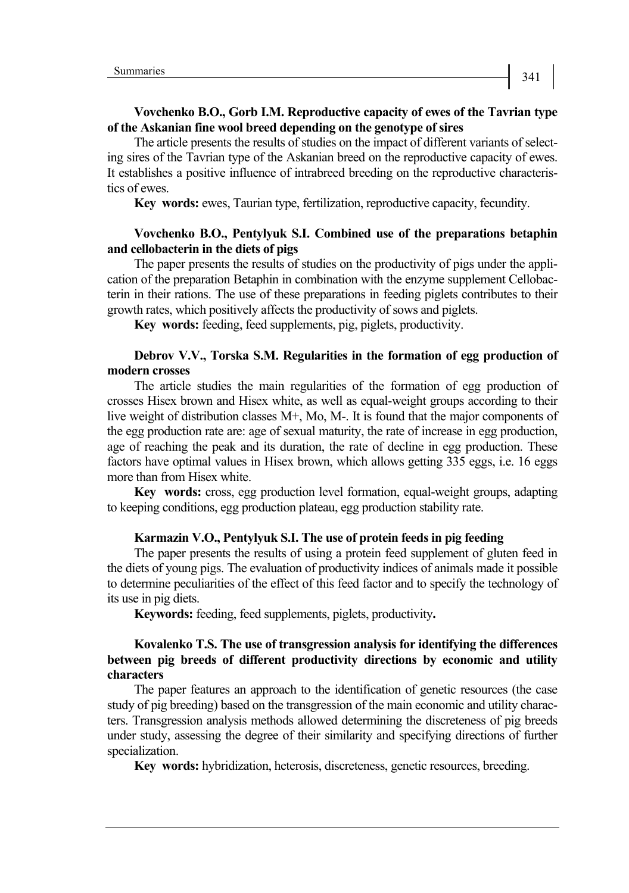The article presents the results of studies on the impact of different variants of selecting sires of the Tavrian type of the Askanian breed on the reproductive capacity of ewes. It establishes a positive influence of intrabreed breeding on the reproductive characteristics of ewes.

**Key words:** ewes, Taurian type, fertilization, reproductive capacity, fecundity.

## **Vovchenko B.O., Pentylyuk S.I. Combined use of the preparations betaphin and cellobacterin in the diets of pigs**

The paper presents the results of studies on the productivity of pigs under the application of the preparation Betaphin in combination with the enzyme supplement Cellobacterin in their rations. The use of these preparations in feeding piglets contributes to their growth rates, which positively affects the productivity of sows and piglets.

**Key words:** feeding, feed supplements, pig, piglets, productivity.

# **Debrov V.V., Torska S.M. Regularities in the formation of egg production of modern crosses**

The article studies the main regularities of the formation of egg production of crosses Hisex brown and Hisex white, as well as equal-weight groups according to their live weight of distribution classes M+, Mo, M-. It is found that the major components of the egg production rate are: age of sexual maturity, the rate of increase in egg production, age of reaching the peak and its duration, the rate of decline in egg production. These factors have optimal values in Hisex brown, which allows getting 335 eggs, i.e. 16 eggs more than from Hisex white.

**Key words:** cross, egg production level formation, equal-weight groups, adapting to keeping conditions, egg production plateau, egg production stability rate.

### **Karmazin V.O., Pentylyuk S.I. The use of protein feeds in pig feeding**

The paper presents the results of using a protein feed supplement of gluten feed in the diets of young pigs. The evaluation of productivity indices of animals made it possible to determine peculiarities of the effect of this feed factor and to specify the technology of its use in pig diets.

**Keywords:** feeding, feed supplements, piglets, productivity**.**

## **Kovalenko T.S. The use of transgression analysis for identifying the differences between pig breeds of different productivity directions by economic and utility characters**

The paper features an approach to the identification of genetic resources (the case study of pig breeding) based on the transgression of the main economic and utility characters. Transgression analysis methods allowed determining the discreteness of pig breeds under study, assessing the degree of their similarity and specifying directions of further specialization.

**Key words:** hybridization, heterosis, discreteness, genetic resources, breeding.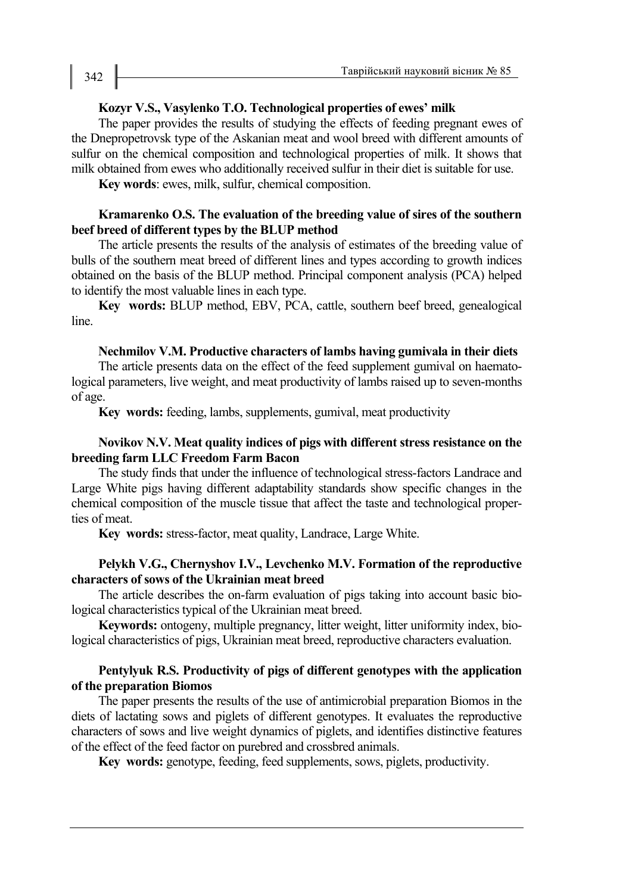# **Kozyr V.S., Vasylenko T.O. Technological properties of ewes' milk**

The paper provides the results of studying the effects of feeding pregnant ewes of the Dnepropetrovsk type of the Askanian meat and wool breed with different amounts of sulfur on the chemical composition and technological properties of milk. It shows that milk obtained from ewes who additionally received sulfur in their diet is suitable for use.

**Key words**: ewes, milk, sulfur, chemical composition.

#### **Kramarenko O.S. The evaluation of the breeding value of sires of the southern beef breed of different types by the BLUP method**

The article presents the results of the analysis of estimates of the breeding value of bulls of the southern meat breed of different lines and types according to growth indices obtained on the basis of the BLUP method. Principal component analysis (PCA) helped to identify the most valuable lines in each type.

**Key words:** BLUP method, EBV, PCA, cattle, southern beef breed, genealogical line.

#### **Nechmilov V.M. Productive characters of lambs having gumivala in their diets**

The article presents data on the effect of the feed supplement gumival on haematological parameters, live weight, and meat productivity of lambs raised up to seven-months of age.

**Key words:** feeding, lambs, supplements, gumival, meat productivity

# **Novikov N.V. Meat quality indices of pigs with different stress resistance on the breeding farm LLC Freedom Farm Bacon**

The study finds that under the influence of technological stress-factors Landrace and Large White pigs having different adaptability standards show specific changes in the chemical composition of the muscle tissue that affect the taste and technological properties of meat.

**Key words:** stress-factor, meat quality, Landrace, Large White.

#### **Pelykh V.G., Chernyshov I.V., Levchenko M.V. Formation of the reproductive characters of sows of the Ukrainian meat breed**

The article describes the on-farm evaluation of pigs taking into account basic biological characteristics typical of the Ukrainian meat breed.

**Keywords:** ontogeny, multiple pregnancy, litter weight, litter uniformity index, biological characteristics of pigs, Ukrainian meat breed, reproductive characters evaluation.

## **Pentylyuk R.S. Productivity of pigs of different genotypes with the application of the preparation Biomos**

The paper presents the results of the use of antimicrobial preparation Biomos in the diets of lactating sows and piglets of different genotypes. It evaluates the reproductive characters of sows and live weight dynamics of piglets, and identifies distinctive features of the effect of the feed factor on purebred and crossbred animals.

**Key words:** genotype, feeding, feed supplements, sows, piglets, productivity.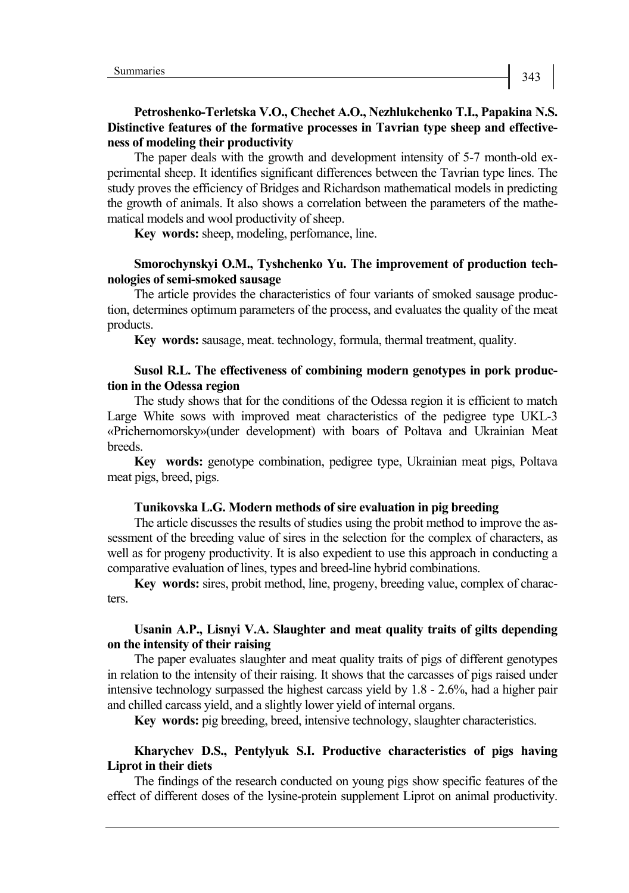# **Petroshenko-Terletska V.O., Chechet A.O., Nezhlukchenko T.I., Papakina N.S. Distinctive features of the formative processes in Tavrian type sheep and effectiveness of modeling their productivity**

The paper deals with the growth and development intensity of 5-7 month-old experimental sheep. It identifies significant differences between the Tavrian type lines. The study proves the efficiency of Bridges and Richardson mathematical models in predicting the growth of animals. It also shows a correlation between the parameters of the mathematical models and wool productivity of sheep.

**Key words:** sheep, modeling, perfomance, line.

# **Smorochynskyi O.M., Tyshchenko Yu. The improvement of production technologies of semi-smoked sausage**

The article provides the characteristics of four variants of smoked sausage production, determines optimum parameters of the process, and evaluates the quality of the meat products.

**Key words:** sausage, meat. technology, formula, thermal treatment, quality.

## **Susol R.L. The effectiveness of combining modern genotypes in pork production in the Odessa region**

The study shows that for the conditions of the Odessa region it is efficient to match Large White sows with improved meat characteristics of the pedigree type UKL-3 «Prichernomorsky»(under development) with boars of Poltava and Ukrainian Meat **breeds** 

**Key words:** genotype combination, pedigree type, Ukrainian meat pigs, Poltava meat pigs, breed, pigs.

#### **Tunikovska L.G. Modern methods of sire evaluation in pig breeding**

The article discusses the results of studies using the probit method to improve the assessment of the breeding value of sires in the selection for the complex of characters, as well as for progeny productivity. It is also expedient to use this approach in conducting a comparative evaluation of lines, types and breed-line hybrid combinations.

**Key words:** sires, probit method, line, progeny, breeding value, complex of characters.

# **Usanin A.P., Lisnyi V.A. Slaughter and meat quality traits of gilts depending on the intensity of their raising**

The paper evaluates slaughter and meat quality traits of pigs of different genotypes in relation to the intensity of their raising. It shows that the carcasses of pigs raised under intensive technology surpassed the highest carcass yield by 1.8 - 2.6%, had a higher pair and chilled carcass yield, and a slightly lower yield of internal organs.

**Key words:** pig breeding, breed, intensive technology, slaughter characteristics.

# **Kharychev D.S., Pentylyuk S.I. Productive characteristics of pigs having Liprot in their diets**

The findings of the research conducted on young pigs show specific features of the effect of different doses of the lysine-protein supplement Liprot on animal productivity.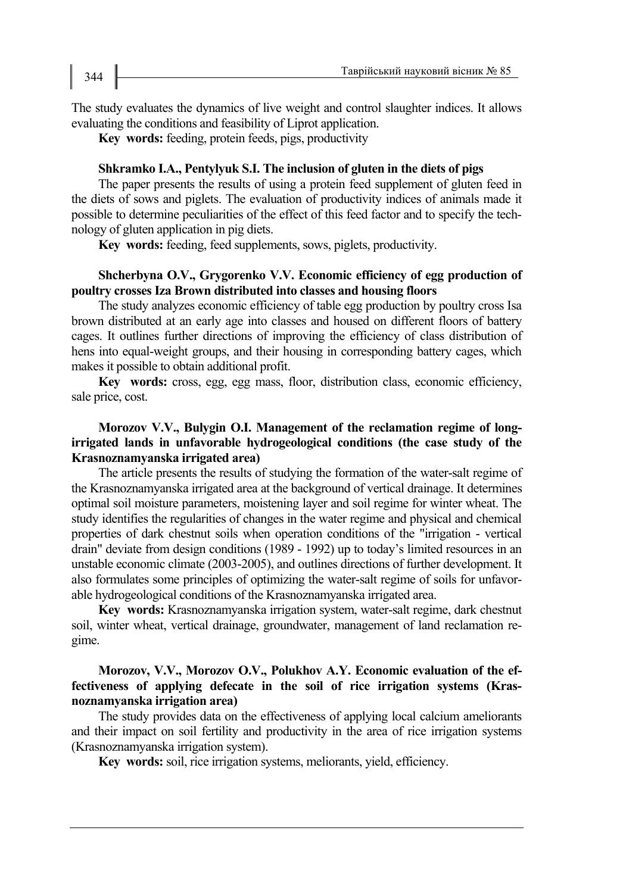The study evaluates the dynamics of live weight and control slaughter indices. It allows evaluating the conditions and feasibility of Liprot application.

**Key words:** feeding, protein feeds, pigs, productivity

#### **Shkramko І.A., Pentylyuk S.I. The inclusion of gluten in the diets of pigs**

The paper presents the results of using a protein feed supplement of gluten feed in the diets of sows and piglets. The evaluation of productivity indices of animals made it possible to determine peculiarities of the effect of this feed factor and to specify the technology of gluten application in pig diets.

**Key words:** feeding, feed supplements, sows, piglets, productivity.

# **Shcherbyna O.V., Grygorenko V.V. Economic efficiency of egg production of poultry crosses Іza Brown distributed into classes and housing floors**

The study analyzes economic efficiency of table egg production by poultry cross Isa brown distributed at an early age into classes and housed on different floors of battery cages. It outlines further directions of improving the efficiency of class distribution of hens into equal-weight groups, and their housing in corresponding battery cages, which makes it possible to obtain additional profit.

**Key words:** cross, egg, egg mass, floor, distribution class, economic efficiency, sale price, cost.

# **Morozov V.V., Bulygin O.I. Management of the reclamation regime of longirrigated lands in unfavorable hydrogeological conditions (the case study of the Krasnoznamyanska irrigated area)**

The article presents the results of studying the formation of the water-salt regime of the Krasnoznamyanska irrigated area at the background of vertical drainage. It determines optimal soil moisture parameters, moistening layer and soil regime for winter wheat. The study identifies the regularities of changes in the water regime and physical and chemical properties of dark chestnut soils when operation conditions of the "irrigation - vertical drain" deviate from design conditions (1989 - 1992) up to today's limited resources in an unstable economic climate (2003-2005), and outlines directions of further development. It also formulates some principles of optimizing the water-salt regime of soils for unfavorable hydrogeological conditions of the Krasnoznamyanska irrigated area.

**Key words:** Krasnoznamyanska irrigation system, water-salt regime, dark chestnut soil, winter wheat, vertical drainage, groundwater, management of land reclamation regime.

# **Morozov, V.V., Morozov O.V., Polukhov A.Y. Economic evaluation of the effectiveness of applying defecate in the soil of rice irrigation systems (Krasnoznamyanska irrigation area)**

The study provides data on the effectiveness of applying local calcium ameliorants and their impact on soil fertility and productivity in the area of rice irrigation systems (Krasnoznamyanska irrigation system).

**Key words:** soil, rice irrigation systems, meliorants, yield, efficiency.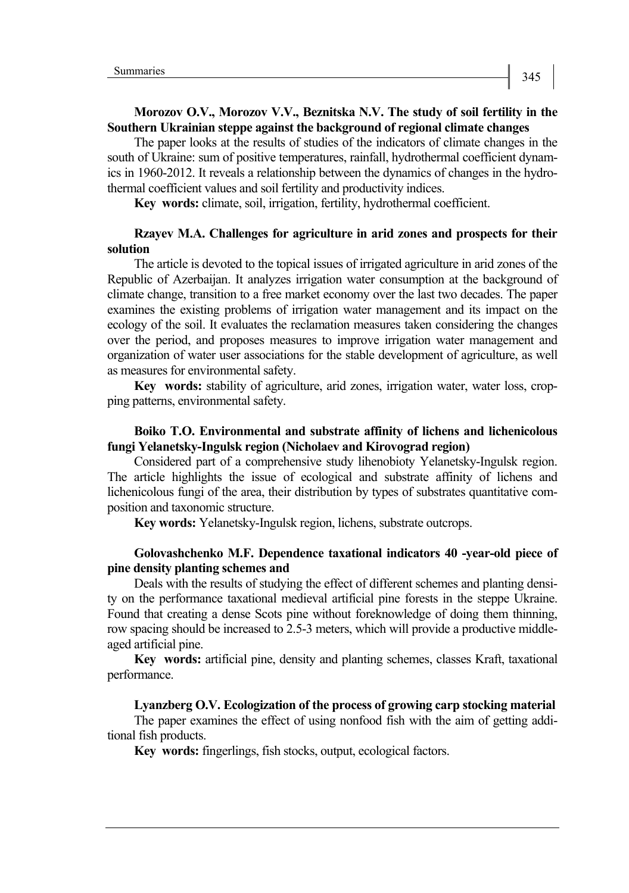#### **Morozov O.V., Morozov V.V., Beznitska N.V. The study of soil fertility in the Southern Ukrainian steppe against the background of regional climate changes**

The paper looks at the results of studies of the indicators of climate changes in the south of Ukraine: sum of positive temperatures, rainfall, hydrothermal coefficient dynamics in 1960-2012. It reveals a relationship between the dynamics of changes in the hydrothermal coefficient values and soil fertility and productivity indices.

**Key words:** climate, soil, irrigation, fertility, hydrothermal coefficient.

## **Rzayev M.A. Challenges for agriculture in arid zones and prospects for their solution**

The article is devoted to the topical issues of irrigated agriculture in arid zones of the Republic of Azerbaijan. It analyzes irrigation water consumption at the background of climate change, transition to a free market economy over the last two decades. The paper examines the existing problems of irrigation water management and its impact on the ecology of the soil. It evaluates the reclamation measures taken considering the changes over the period, and proposes measures to improve irrigation water management and organization of water user associations for the stable development of agriculture, as well as measures for environmental safety.

**Key words:** stability of agriculture, arid zones, irrigation water, water loss, cropping patterns, environmental safety.

### **Boiko T.O. Environmental and substrate affinity of lichens and lichenicolous fungi Yelanetsky-Ingulsk region (Nicholaev and Kirovograd region)**

Considered part of a comprehensive study lihenobioty Yelanetsky-Ingulsk region. The article highlights the issue of ecological and substrate affinity of lichens and lichenicolous fungi of the area, their distribution by types of substrates quantitative composition and taxonomic structure.

**Key words:** Yelanetsky-Ingulsk region, lichens, substrate outcrops.

# **Golovashchenko M.F. Dependence taxational indicators 40 -year-old piece of pine density planting schemes and**

Deals with the results of studying the effect of different schemes and planting density on the performance taxational medieval artificial pine forests in the steppe Ukraine. Found that creating a dense Scots pine without foreknowledge of doing them thinning, row spacing should be increased to 2.5-3 meters, which will provide a productive middleaged artificial pine.

**Key words:** artificial pine, density and planting schemes, classes Kraft, taxational performance.

#### **Lyanzberg O.V. Ecologization of the process of growing carp stocking material**

The paper examines the effect of using nonfood fish with the aim of getting additional fish products.

**Key words:** fingerlings, fish stocks, output, ecological factors.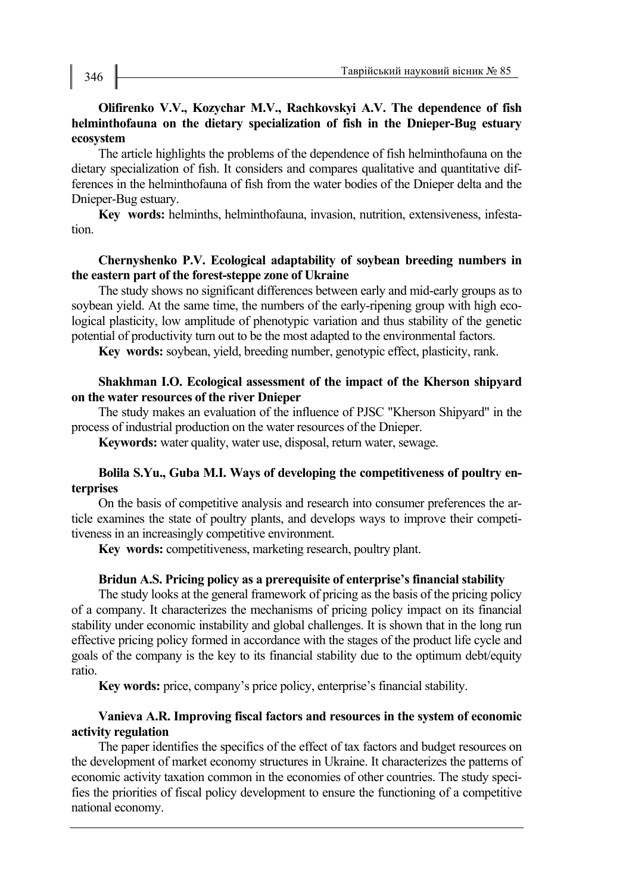# **Olifirenko V.V., Kozychar M.V., Rachkovskyi A.V. The dependence of fish helminthofauna on the dietary specialization of fish in the Dnieper-Bug estuary ecosystem**

The article highlights the problems of the dependence of fish helminthofauna on the dietary specialization of fish. It considers and compares qualitative and quantitative differences in the helminthofauna of fish from the water bodies of the Dnieper delta and the Dnieper-Bug estuary.

**Key words:** helminths, helminthofauna, invasion, nutrition, extensiveness, infestation.

# **Chernyshenko P.V. Ecological adaptability of soybean breeding numbers in the eastern part of the forest-steppe zone of Ukraine**

The study shows no significant differences between early and mid-early groups as to soybean yield. At the same time, the numbers of the early-ripening group with high ecological plasticity, low amplitude of phenotypic variation and thus stability of the genetic potential of productivity turn out to be the most adapted to the environmental factors.

**Key words:** soybean, yield, breeding number, genotypic effect, plasticity, rank.

# **Shakhman I.O. Ecological assessment of the impact of the Kherson shipyard on the water resources of the river Dnieper**

The study makes an evaluation of the influence of PJSC "Kherson Shipyard" in the process of industrial production on the water resources of the Dnieper.

**Keywords:** water quality, water use, disposal, return water, sewage.

# **Bolila S.Yu., Guba M.I. Ways of developing the competitiveness of poultry enterprises**

On the basis of competitive analysis and research into consumer preferences the article examines the state of poultry plants, and develops ways to improve their competitiveness in an increasingly competitive environment.

**Key words:** competitiveness, marketing research, poultry plant.

#### **Bridun A.S. Pricing policy as a prerequisite of enterprise's financial stability**

The study looks at the general framework of pricing as the basis of the pricing policy of a company. It characterizes the mechanisms of pricing policy impact on its financial stability under economic instability and global challenges. It is shown that in the long run effective pricing policy formed in accordance with the stages of the product life cycle and goals of the company is the key to its financial stability due to the optimum debt/equity ratio.

**Key words:** price, company's price policy, enterprise's financial stability.

# **Vanieva A.R. Improving fiscal factors and resources in the system of economic activity regulation**

The paper identifies the specifics of the effect of tax factors and budget resources on the development of market economy structures in Ukraine. It characterizes the patterns of economic activity taxation common in the economies of other countries. The study specifies the priorities of fiscal policy development to ensure the functioning of a competitive national economy.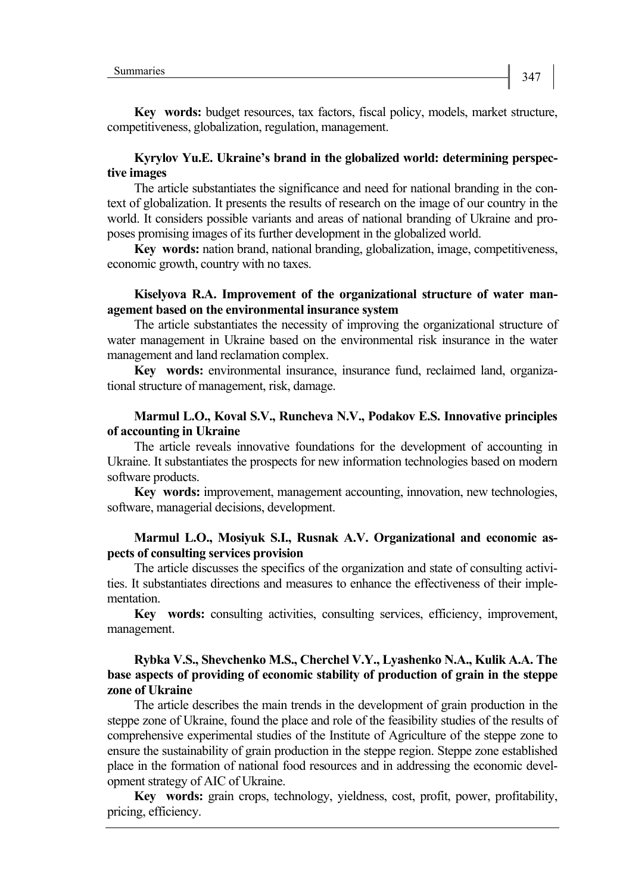**Key words:** budget resources, tax factors, fiscal policy, models, market structure, competitiveness, globalization, regulation, management.

#### **Kyrylov Yu.E. Ukraine's brand in the globalized world: determining perspective images**

The article substantiates the significance and need for national branding in the context of globalization. It presents the results of research on the image of our country in the world. It considers possible variants and areas of national branding of Ukraine and proposes promising images of its further development in the globalized world.

**Key words:** nation brand, national branding, globalization, image, competitiveness, economic growth, country with no taxes.

#### **Kiselyova R.A. Improvement of the organizational structure of water management based on the environmental insurance system**

The article substantiates the necessity of improving the organizational structure of water management in Ukraine based on the environmental risk insurance in the water management and land reclamation complex.

**Key words:** environmental insurance, insurance fund, reclaimed land, organizational structure of management, risk, damage.

# **Marmul L.O., Koval S.V., Runcheva N.V., Podakov E.S. Innovative principles of accounting in Ukraine**

The article reveals innovative foundations for the development of accounting in Ukraine. It substantiates the prospects for new information technologies based on modern software products.

**Key words:** improvement, management accounting, innovation, new technologies, software, managerial decisions, development.

# **Marmul L.O., Mosiyuk S.I., Rusnak A.V. Organizational and economic aspects of consulting services provision**

The article discusses the specifics of the organization and state of consulting activities. It substantiates directions and measures to enhance the effectiveness of their implementation.

**Key words:** consulting activities, consulting services, efficiency, improvement, management.

# **Rybka V.S., Shevchenko M.S., Cherchel V.Y., Lyashenko N.A., Kulik A.A. The base aspects of providing of economic stability of production of grain in the steppe zone of Ukraine**

The article describes the main trends in the development of grain production in the steppe zone of Ukraine, found the place and role of the feasibility studies of the results of comprehensive experimental studies of the Institute of Agriculture of the steppe zone to ensure the sustainability of grain production in the steppe region. Steppe zone established place in the formation of national food resources and in addressing the economic development strategy of AIC of Ukraine.

**Key words:** grain crops, technology, yieldness, cost, profit, power, profitability, pricing, efficiency.